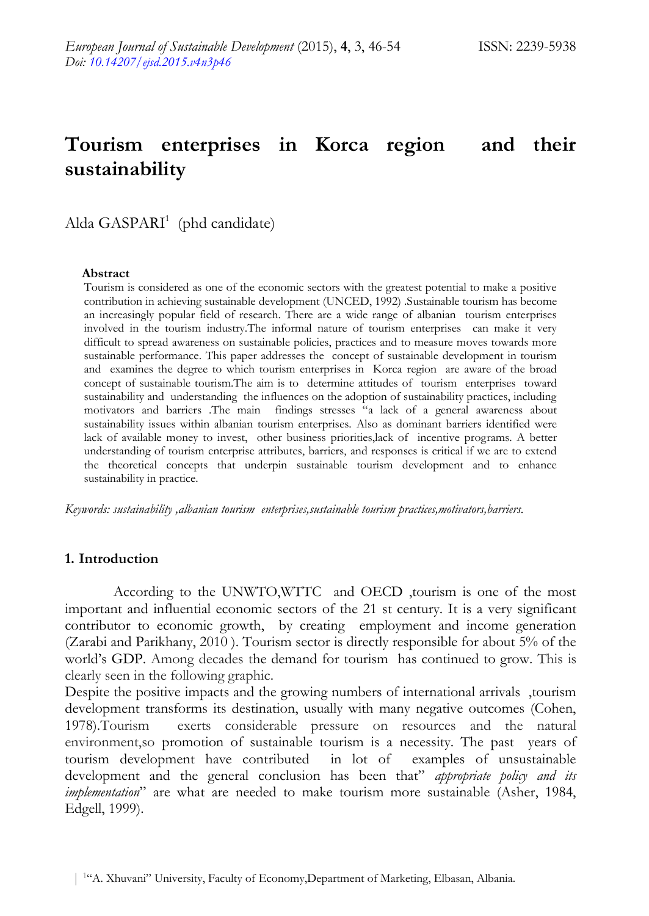# **Tourism enterprises in Korca region and their sustainability**

Alda GASPARI<sup>1</sup> (phd candidate)

#### **Abstract**

Tourism is considered as one of the economic sectors with the greatest potential to make a positive contribution in achieving sustainable development (UNCED, 1992) .Sustainable tourism has become an increasingly popular field of research. There are a wide range of albanian tourism enterprises involved in the tourism industry.The informal nature of tourism enterprises can make it very difficult to spread awareness on sustainable policies, practices and to measure moves towards more sustainable performance. This paper addresses the concept of sustainable development in tourism and examines the degree to which tourism enterprises in Korca region are aware of the broad concept of sustainable tourism.The aim is to determine attitudes of tourism enterprises toward sustainability and understanding the influences on the adoption of sustainability practices, including motivators and barriers .The main findings stresses "a lack of a general awareness about sustainability issues within albanian tourism enterprises. Also as dominant barriers identified were lack of available money to invest, other business priorities,lack of incentive programs. A better understanding of tourism enterprise attributes, barriers, and responses is critical if we are to extend the theoretical concepts that underpin sustainable tourism development and to enhance sustainability in practice.

*Keywords: sustainability ,albanian tourism enterprises,sustainable tourism practices,motivators,barriers.*

#### **1. Introduction**

According to the UNWTO,WTTC and OECD ,tourism is one of the most important and influential economic sectors of the 21 st century. It is a very significant contributor to economic growth, by creating employment and income generation (Zarabi and Parikhany, 2010 ). Tourism sector is directly responsible for about 5% of the world"s GDP. Among decades the demand for tourism has continued to grow. This is clearly seen in the following graphic.

Despite the positive impacts and the growing numbers of international arrivals ,tourism development transforms its destination, usually with many negative outcomes (Cohen, 1978).Tourism exerts considerable pressure on resources and the natural environment,so promotion of sustainable tourism is a necessity. The past years of tourism development have contributed in lot of examples of unsustainable development and the general conclusion has been that" *appropriate policy and its implementation*" are what are needed to make tourism more sustainable (Asher, 1984, Edgell, 1999).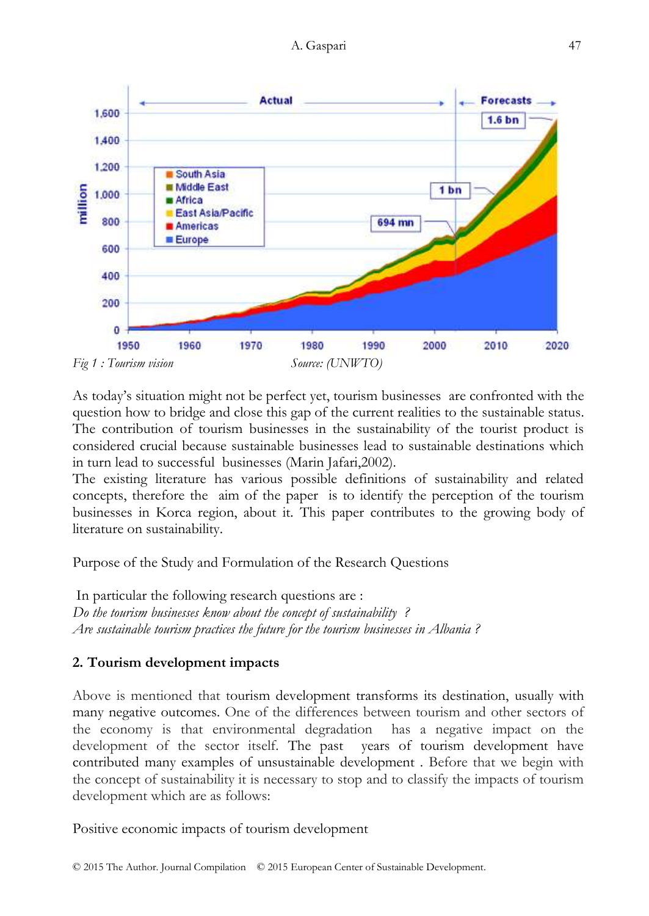

As today"s situation might not be perfect yet, tourism businesses are confronted with the question how to bridge and close this gap of the current realities to the sustainable status. The contribution of tourism businesses in the sustainability of the tourist product is considered crucial because sustainable businesses lead to sustainable destinations which in turn lead to successful businesses (Marin Jafari,2002).

The existing literature has various possible definitions of sustainability and related concepts, therefore the aim of the paper is to identify the perception of the tourism businesses in Korca region, about it. This paper contributes to the growing body of literature on sustainability.

Purpose of the Study and Formulation of the Research Questions

In particular the following research questions are : *Do the tourism businesses know about the concept of sustainability ? Are sustainable tourism practices the future for the tourism businesses in Albania ?*

# **2. Tourism development impacts**

Above is mentioned that tourism development transforms its destination, usually with many negative outcomes. One of the differences between tourism and other sectors of the economy is that environmental degradation has a negative impact on the development of the sector itself. The past years of tourism development have contributed many examples of unsustainable development . Before that we begin with the concept of sustainability it is necessary to stop and to classify the impacts of tourism development which are as follows:

Positive economic impacts of tourism development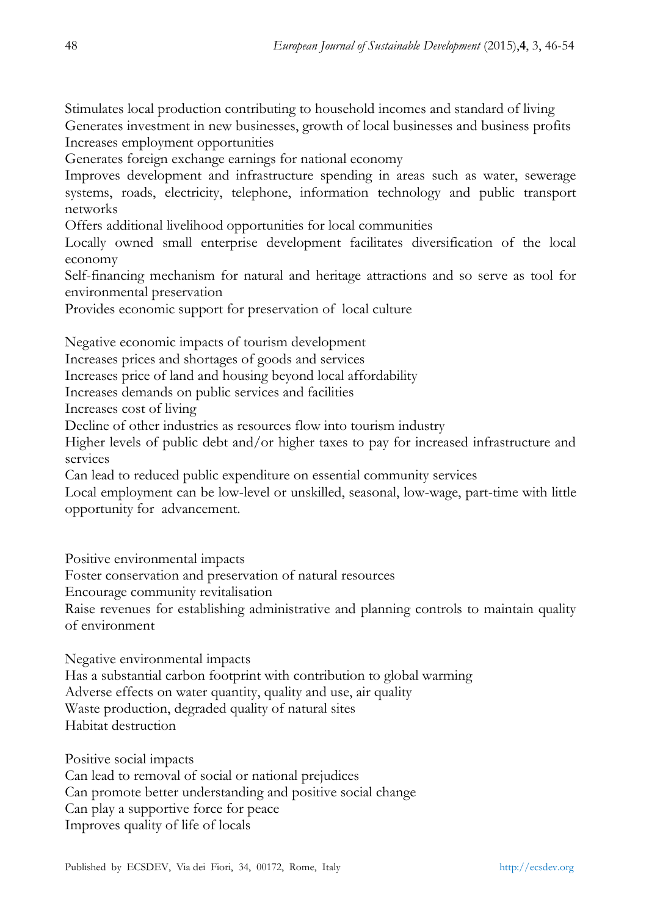Stimulates local production contributing to household incomes and standard of living Generates investment in new businesses, growth of local businesses and business profits Increases employment opportunities

Generates foreign exchange earnings for national economy

Improves development and infrastructure spending in areas such as water, sewerage systems, roads, electricity, telephone, information technology and public transport networks

Offers additional livelihood opportunities for local communities

Locally owned small enterprise development facilitates diversification of the local economy

Self-financing mechanism for natural and heritage attractions and so serve as tool for environmental preservation

Provides economic support for preservation of local culture

Negative economic impacts of tourism development

Increases prices and shortages of goods and services

Increases price of land and housing beyond local affordability

Increases demands on public services and facilities

Increases cost of living

Decline of other industries as resources flow into tourism industry

Higher levels of public debt and/or higher taxes to pay for increased infrastructure and services

Can lead to reduced public expenditure on essential community services

Local employment can be low-level or unskilled, seasonal, low-wage, part-time with little opportunity for advancement.

Positive environmental impacts

Foster conservation and preservation of natural resources

Encourage community revitalisation

Raise revenues for establishing administrative and planning controls to maintain quality of environment

Negative environmental impacts

Has a substantial carbon footprint with contribution to global warming Adverse effects on water quantity, quality and use, air quality Waste production, degraded quality of natural sites

Habitat destruction

Positive social impacts Can lead to removal of social or national prejudices Can promote better understanding and positive social change Can play a supportive force for peace Improves quality of life of locals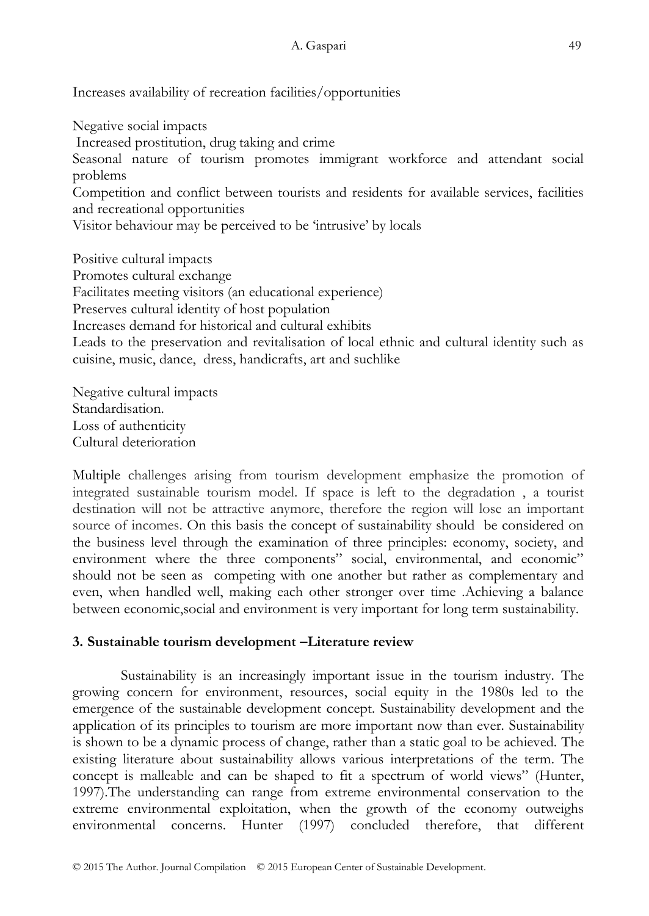Increases availability of recreation facilities/opportunities

Negative social impacts Increased prostitution, drug taking and crime Seasonal nature of tourism promotes immigrant workforce and attendant social problems Competition and conflict between tourists and residents for available services, facilities and recreational opportunities Visitor behaviour may be perceived to be "intrusive" by locals Positive cultural impacts Promotes cultural exchange Facilitates meeting visitors (an educational experience) Preserves cultural identity of host population Increases demand for historical and cultural exhibits Leads to the preservation and revitalisation of local ethnic and cultural identity such as

cuisine, music, dance, dress, handicrafts, art and suchlike

Negative cultural impacts Standardisation. Loss of authenticity Cultural deterioration

Multiple challenges arising from tourism development emphasize the promotion of integrated sustainable tourism model. If space is left to the degradation , a tourist destination will not be attractive anymore, therefore the region will lose an important source of incomes. On this basis the concept of sustainability should be considered on the business level through the examination of three principles: economy, society, and environment where the three components" social, environmental, and economic" should not be seen as competing with one another but rather as complementary and even, when handled well, making each other stronger over time .Achieving a balance between economic,social and environment is very important for long term sustainability.

## **3. Sustainable tourism development –Literature review**

Sustainability is an increasingly important issue in the tourism industry. The growing concern for environment, resources, social equity in the 1980s led to the emergence of the sustainable development concept. Sustainability development and the application of its principles to tourism are more important now than ever. Sustainability is shown to be a dynamic process of change, rather than a static goal to be achieved. The existing literature about sustainability allows various interpretations of the term. The concept is malleable and can be shaped to fit a spectrum of world views" (Hunter, 1997).The understanding can range from extreme environmental conservation to the extreme environmental exploitation, when the growth of the economy outweighs environmental concerns. Hunter (1997) concluded therefore, that different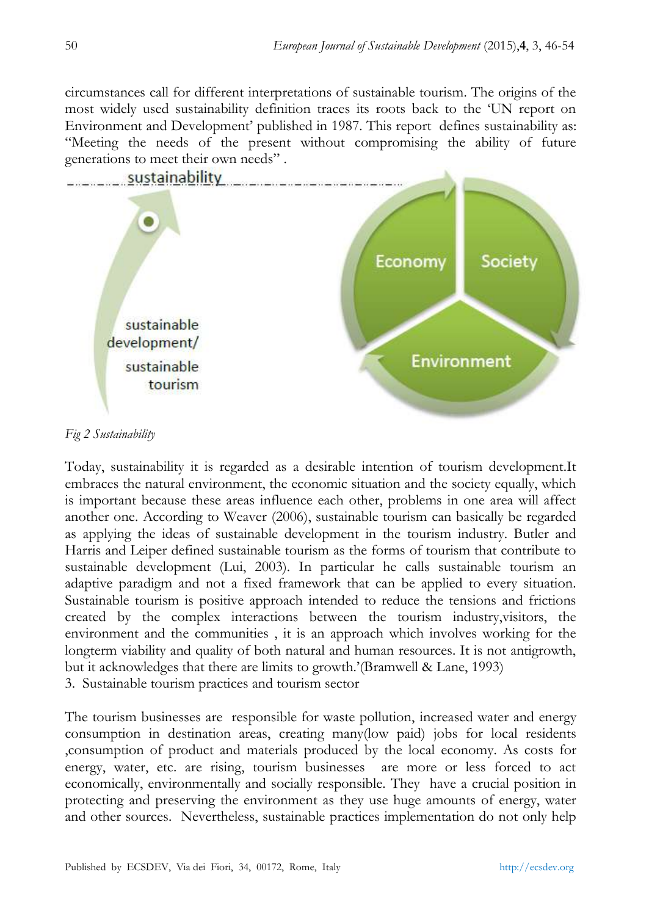circumstances call for different interpretations of sustainable tourism. The origins of the most widely used sustainability definition traces its roots back to the "UN report on Environment and Development" published in 1987. This report defines sustainability as: "Meeting the needs of the present without compromising the ability of future generations to meet their own needs" .



*Fig 2 Sustainability* 

Today, sustainability it is regarded as a desirable intention of tourism development.It embraces the natural environment, the economic situation and the society equally, which is important because these areas influence each other, problems in one area will affect another one. According to Weaver (2006), sustainable tourism can basically be regarded as applying the ideas of sustainable development in the tourism industry. Butler and Harris and Leiper defined sustainable tourism as the forms of tourism that contribute to sustainable development (Lui, 2003). In particular he calls sustainable tourism an adaptive paradigm and not a fixed framework that can be applied to every situation. Sustainable tourism is positive approach intended to reduce the tensions and frictions created by the complex interactions between the tourism industry,visitors, the environment and the communities , it is an approach which involves working for the longterm viability and quality of both natural and human resources. It is not antigrowth, but it acknowledges that there are limits to growth."(Bramwell & Lane, 1993) 3. Sustainable tourism practices and tourism sector

The tourism businesses are responsible for waste pollution, increased water and energy consumption in destination areas, creating many(low paid) jobs for local residents ,consumption of product and materials produced by the local economy. As costs for energy, water, etc. are rising, tourism businesses are more or less forced to act economically, environmentally and socially responsible. They have a crucial position in protecting and preserving the environment as they use huge amounts of energy, water and other sources. Nevertheless, sustainable practices implementation do not only help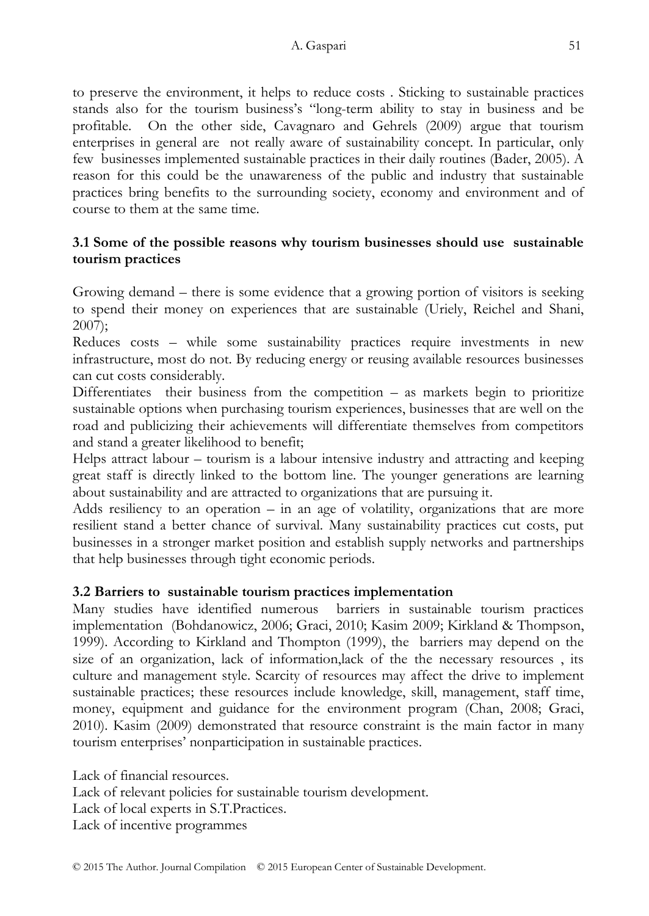to preserve the environment, it helps to reduce costs . Sticking to sustainable practices stands also for the tourism business"s "long-term ability to stay in business and be profitable. On the other side, Cavagnaro and Gehrels (2009) argue that tourism enterprises in general are not really aware of sustainability concept. In particular, only few businesses implemented sustainable practices in their daily routines (Bader, 2005). A reason for this could be the unawareness of the public and industry that sustainable practices bring benefits to the surrounding society, economy and environment and of course to them at the same time.

# **3.1 Some of the possible reasons why tourism businesses should use sustainable tourism practices**

Growing demand – there is some evidence that a growing portion of visitors is seeking to spend their money on experiences that are sustainable (Uriely, Reichel and Shani, 2007);

Reduces costs – while some sustainability practices require investments in new infrastructure, most do not. By reducing energy or reusing available resources businesses can cut costs considerably.

Differentiates their business from the competition  $-$  as markets begin to prioritize sustainable options when purchasing tourism experiences, businesses that are well on the road and publicizing their achievements will differentiate themselves from competitors and stand a greater likelihood to benefit;

Helps attract labour – tourism is a labour intensive industry and attracting and keeping great staff is directly linked to the bottom line. The younger generations are learning about sustainability and are attracted to organizations that are pursuing it.

Adds resiliency to an operation – in an age of volatility, organizations that are more resilient stand a better chance of survival. Many sustainability practices cut costs, put businesses in a stronger market position and establish supply networks and partnerships that help businesses through tight economic periods.

# **3.2 Barriers to sustainable tourism practices implementation**

Many studies have identified numerous barriers in sustainable tourism practices implementation (Bohdanowicz, 2006; Graci, 2010; Kasim 2009; Kirkland & Thompson, 1999). According to Kirkland and Thompton (1999), the barriers may depend on the size of an organization, lack of information,lack of the the necessary resources , its culture and management style. Scarcity of resources may affect the drive to implement sustainable practices; these resources include knowledge, skill, management, staff time, money, equipment and guidance for the environment program (Chan, 2008; Graci, 2010). Kasim (2009) demonstrated that resource constraint is the main factor in many tourism enterprises" nonparticipation in sustainable practices.

Lack of financial resources. Lack of relevant policies for sustainable tourism development. Lack of local experts in S.T.Practices. Lack of incentive programmes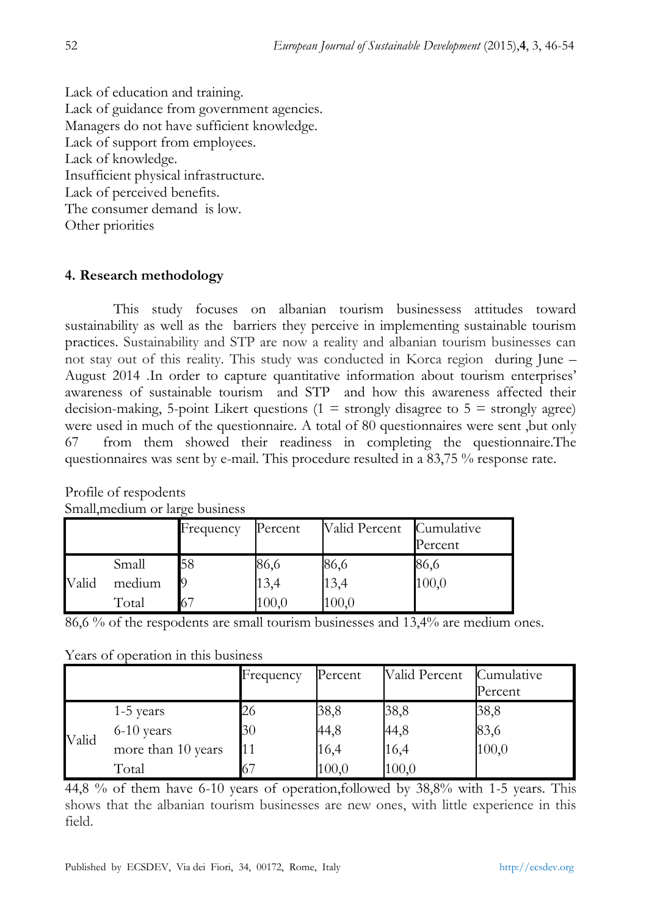Lack of education and training. Lack of guidance from government agencies. Managers do not have sufficient knowledge. Lack of support from employees. Lack of knowledge. Insufficient physical infrastructure. Lack of perceived benefits. The consumer demand is low. Other priorities

# **4. Research methodology**

This study focuses on albanian tourism businessess attitudes toward sustainability as well as the barriers they perceive in implementing sustainable tourism practices. Sustainability and STP are now a reality and albanian tourism businesses can not stay out of this reality. This study was conducted in Korca region during June – August 2014 .In order to capture quantitative information about tourism enterprises" awareness of sustainable tourism and STP and how this awareness affected their decision-making, 5-point Likert questions ( $1 =$  strongly disagree to  $5 =$  strongly agree) were used in much of the questionnaire. A total of 80 questionnaires were sent ,but only 67 from them showed their readiness in completing the questionnaire.The questionnaires was sent by e-mail. This procedure resulted in a 83,75 % response rate.

|       |        | Frequency | Percent | Valid Percent | Cumulative<br>Percent |
|-------|--------|-----------|---------|---------------|-----------------------|
|       | Small  | 58        | 86,6    | 86,6          | 86,6                  |
| Valid | medium |           | 13,4    | 13,4          | 100,0                 |
|       | Total  | 67        | 100,0   | 100,0         |                       |

Profile of respodents Small,medium or large business

86,6 % of the respodents are small tourism businesses and 13,4% are medium ones.

Years of operation in this business

|       |                    | Frequency | Percent | Valid Percent | Cumulative<br>Percent |
|-------|--------------------|-----------|---------|---------------|-----------------------|
| Valid | 1-5 years          | 26        | 38,8    | 38,8          | 38,8                  |
|       | 6-10 years         | 30        | 44,8    | 44,8          | 83,6                  |
|       | more than 10 years |           | 16,4    | 16,4          | 100,0                 |
|       | Total              |           | 100,0   | 100,0         |                       |

44,8 % of them have 6-10 years of operation,followed by 38,8% with 1-5 years. This shows that the albanian tourism businesses are new ones, with little experience in this field.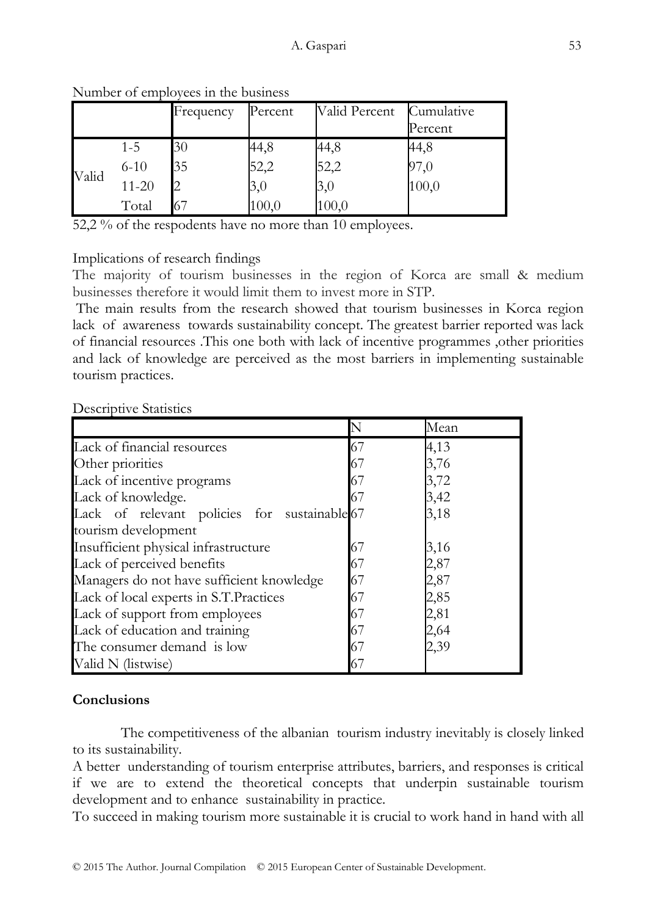|       |           | Frequency | Percent | Valid Percent | Cumulative<br>Percent |
|-------|-----------|-----------|---------|---------------|-----------------------|
| Valid | $1 - 5$   | 30        | 44,8    | 44,8          | 44,8                  |
|       | $6 - 10$  | 35        | 52,2    | 52,2          | 97,0                  |
|       | $11 - 20$ |           | 3,0     | 3,0           | 100,0                 |
|       | Total     | 67        | 100,0   | 100,0         |                       |

Number of employees in the business

52,2 % of the respodents have no more than 10 employees.

#### Implications of research findings

The majority of tourism businesses in the region of Korca are small & medium businesses therefore it would limit them to invest more in STP.

The main results from the research showed that tourism businesses in Korca region lack of awareness towards sustainability concept. The greatest barrier reported was lack of financial resources .This one both with lack of incentive programmes ,other priorities and lack of knowledge are perceived as the most barriers in implementing sustainable tourism practices.

| <b>Descriptive Statistics</b> |  |
|-------------------------------|--|
|-------------------------------|--|

|                                              |    | Mean |
|----------------------------------------------|----|------|
| Lack of financial resources                  | 67 | 4,13 |
| Other priorities                             | 67 | 3,76 |
| Lack of incentive programs                   | 67 | 3,72 |
| Lack of knowledge.                           | 67 | 3,42 |
| Lack of relevant policies for sustainable 67 |    | 3,18 |
| tourism development                          |    |      |
| Insufficient physical infrastructure         | 67 | 3,16 |
| Lack of perceived benefits                   | 67 | 2,87 |
| Managers do not have sufficient knowledge    | 67 | 2,87 |
| Lack of local experts in S.T.Practices       | 67 | 2,85 |
| Lack of support from employees               | 67 | 2,81 |
| Lack of education and training               | 67 | 2,64 |
| The consumer demand is low                   | 67 | 2,39 |
| Valid N (listwise)                           | 67 |      |

## **Conclusions**

The competitiveness of the albanian tourism industry inevitably is closely linked to its sustainability.

A better understanding of tourism enterprise attributes, barriers, and responses is critical if we are to extend the theoretical concepts that underpin sustainable tourism development and to enhance sustainability in practice.

To succeed in making tourism more sustainable it is crucial to work hand in hand with all